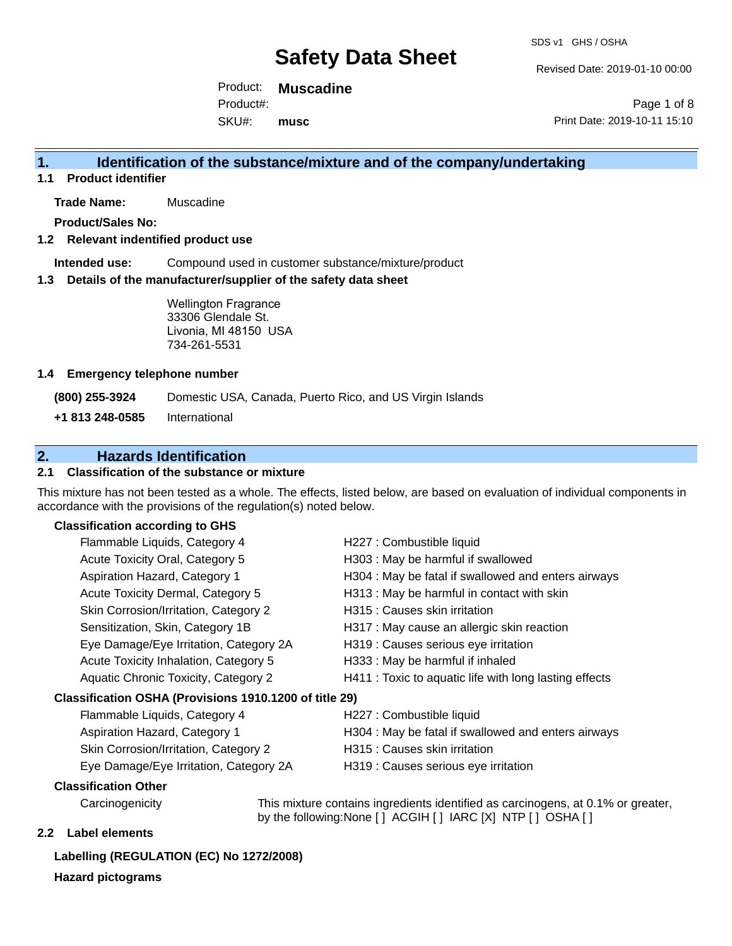Revised Date: 2019-01-10 00:00

Product: **Muscadine** SKU#: Product#: **musc**

Page 1 of 8 Print Date: 2019-10-11 15:10

## **1. Identification of the substance/mixture and of the company/undertaking**

**1.1 Product identifier**

**Trade Name:** Muscadine

**Product/Sales No:**

#### **1.2 Relevant indentified product use**

**Intended use:** Compound used in customer substance/mixture/product

#### **1.3 Details of the manufacturer/supplier of the safety data sheet**

Wellington Fragrance 33306 Glendale St. Livonia, MI 48150 USA 734-261-5531

#### **1.4 Emergency telephone number**

**(800) 255-3924** Domestic USA, Canada, Puerto Rico, and US Virgin Islands

**+1 813 248-0585** International

## **2. Hazards Identification**

## **2.1 Classification of the substance or mixture**

This mixture has not been tested as a whole. The effects, listed below, are based on evaluation of individual components in accordance with the provisions of the regulation(s) noted below.

### **Classification according to GHS**

|                                                        | Flammable Liquids, Category 4          | H227 : Combustible liquid                              |
|--------------------------------------------------------|----------------------------------------|--------------------------------------------------------|
|                                                        | Acute Toxicity Oral, Category 5        | H303 : May be harmful if swallowed                     |
|                                                        | Aspiration Hazard, Category 1          | H304 : May be fatal if swallowed and enters airways    |
|                                                        | Acute Toxicity Dermal, Category 5      | H313 : May be harmful in contact with skin             |
|                                                        | Skin Corrosion/Irritation, Category 2  | H315 : Causes skin irritation                          |
|                                                        | Sensitization, Skin, Category 1B       | H317 : May cause an allergic skin reaction             |
|                                                        | Eye Damage/Eye Irritation, Category 2A | H319 : Causes serious eye irritation                   |
|                                                        | Acute Toxicity Inhalation, Category 5  | H333: May be harmful if inhaled                        |
|                                                        | Aquatic Chronic Toxicity, Category 2   | H411 : Toxic to aquatic life with long lasting effects |
| Classification OSHA (Provisions 1910.1200 of title 29) |                                        |                                                        |
|                                                        | Flammable Liquids, Category 4          | H227 : Combustible liquid                              |
|                                                        | Aspiration Hazard, Category 1          | H304 : May be fatal if swallowed and enters airways    |

## 1azaru, Category

- 
- 
- Skin Corrosion/Irritation, Category 2 H315 : Causes skin irritation
- 
- Eye Damage/Eye Irritation, Category 2A H319 : Causes serious eye irritation

#### **Classification Other**

Carcinogenicity This mixture contains ingredients identified as carcinogens, at 0.1% or greater, by the following:None [ ] ACGIH [ ] IARC [X] NTP [ ] OSHA [ ]

### **2.2 Label elements**

## **Labelling (REGULATION (EC) No 1272/2008)**

**Hazard pictograms**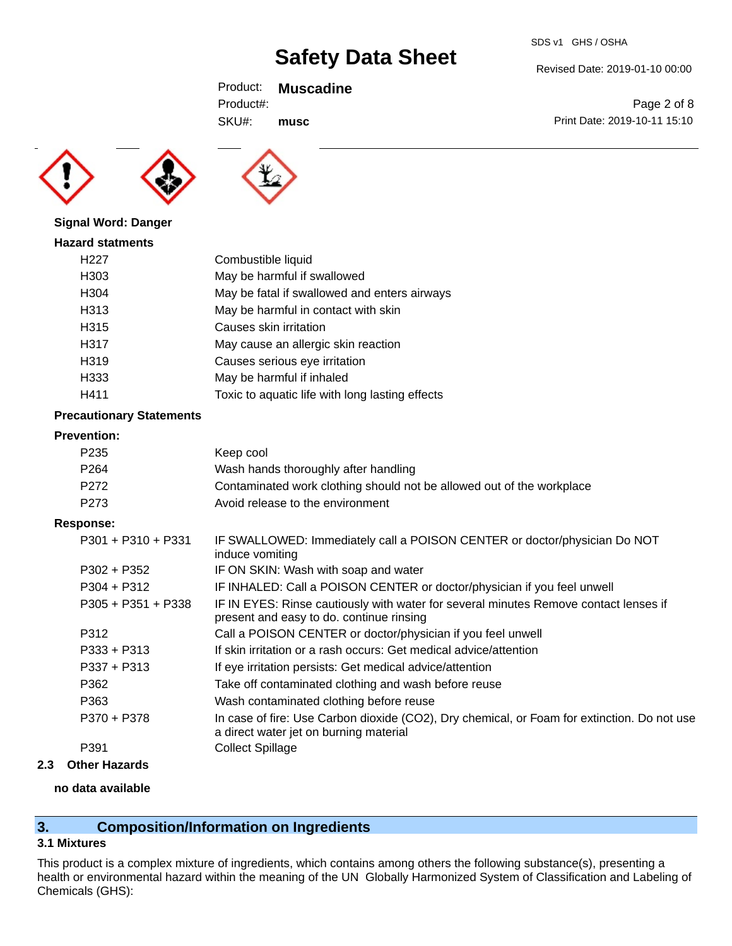Revised Date: 2019-01-10 00:00

Print Date: 2019-10-11 15:10

Page 2 of 8

Product: **Muscadine**

SKU#: Product#: **musc**





## **Signal Word: Danger**

| <b>Hazard statments</b> |                                                 |
|-------------------------|-------------------------------------------------|
| H <sub>22</sub> 7       | Combustible liquid                              |
| H303                    | May be harmful if swallowed                     |
| H304                    | May be fatal if swallowed and enters airways    |
| H313                    | May be harmful in contact with skin             |
| H315                    | Causes skin irritation                          |
| H317                    | May cause an allergic skin reaction             |
| H319                    | Causes serious eye irritation                   |
| H333                    | May be harmful if inhaled                       |
| H411                    | Toxic to aquatic life with long lasting effects |

## **Precautionary Statements**

### **Prevention:**

| P235 | Keep cool                                                             |
|------|-----------------------------------------------------------------------|
| P264 | Wash hands thoroughly after handling                                  |
| P272 | Contaminated work clothing should not be allowed out of the workplace |
| P273 | Avoid release to the environment                                      |
|      |                                                                       |

### **Response:**

| $P301 + P310 + P331$ | IF SWALLOWED: Immediately call a POISON CENTER or doctor/physician Do NOT<br>induce vomiting                                          |
|----------------------|---------------------------------------------------------------------------------------------------------------------------------------|
| $P302 + P352$        | IF ON SKIN: Wash with soap and water                                                                                                  |
| $P304 + P312$        | IF INHALED: Call a POISON CENTER or doctor/physician if you feel unwell                                                               |
| $P305 + P351 + P338$ | IF IN EYES: Rinse cautiously with water for several minutes Remove contact lenses if<br>present and easy to do. continue rinsing      |
| P312                 | Call a POISON CENTER or doctor/physician if you feel unwell                                                                           |
| $P333 + P313$        | If skin irritation or a rash occurs: Get medical advice/attention                                                                     |
| $P337 + P313$        | If eye irritation persists: Get medical advice/attention                                                                              |
| P362                 | Take off contaminated clothing and wash before reuse                                                                                  |
| P363                 | Wash contaminated clothing before reuse                                                                                               |
| P370 + P378          | In case of fire: Use Carbon dioxide (CO2), Dry chemical, or Foam for extinction. Do not use<br>a direct water jet on burning material |
| P391                 | <b>Collect Spillage</b>                                                                                                               |
|                      |                                                                                                                                       |

## **2.3 Other Hazards**

### **no data available**

## **3. Composition/Information on Ingredients**

## **3.1 Mixtures**

This product is a complex mixture of ingredients, which contains among others the following substance(s), presenting a health or environmental hazard within the meaning of the UN Globally Harmonized System of Classification and Labeling of Chemicals (GHS):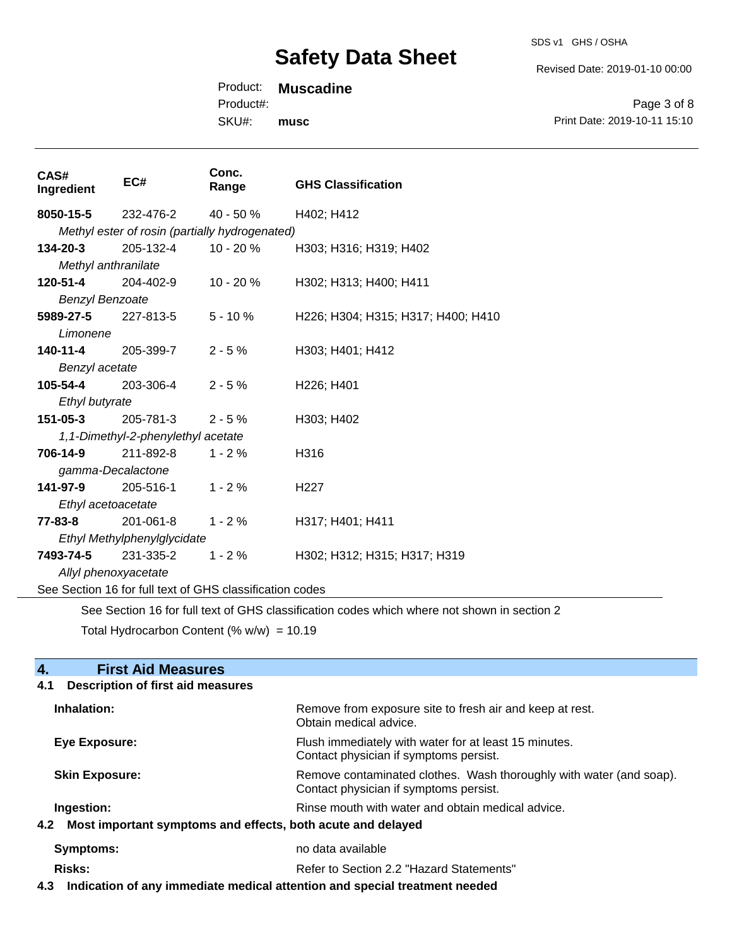Revised Date: 2019-01-10 00:00

Product: **Muscadine**

Product#:

SKU#: **musc**

| Page 3 of 8                  |  |
|------------------------------|--|
| Print Date: 2019-10-11 15:10 |  |

| CAS#<br>Ingredient                                       | EC#                                            | Conc.<br>Range | <b>GHS Classification</b>          |  |  |
|----------------------------------------------------------|------------------------------------------------|----------------|------------------------------------|--|--|
|                                                          | <b>8050-15-5</b> 232-476-2 40 - 50 %           |                | H402; H412                         |  |  |
|                                                          | Methyl ester of rosin (partially hydrogenated) |                |                                    |  |  |
| $134 - 20 - 3$                                           | 205-132-4                                      | 10 - 20 %      | H303; H316; H319; H402             |  |  |
| Methyl anthranilate                                      |                                                |                |                                    |  |  |
| <b>120-51-4</b> 204-402-9                                |                                                | 10 - 20 %      | H302; H313; H400; H411             |  |  |
| <b>Benzyl Benzoate</b>                                   |                                                |                |                                    |  |  |
|                                                          | <b>5989-27-5</b> 227-813-5 5 - 10 %            |                | H226; H304; H315; H317; H400; H410 |  |  |
| Limonene                                                 |                                                |                |                                    |  |  |
|                                                          | $140-11-4$ 205-399-7 2 - 5 %                   |                | H303; H401; H412                   |  |  |
| Benzyl acetate                                           |                                                |                |                                    |  |  |
| <b>105-54-4</b> 203-306-4                                |                                                | $2 - 5\%$      | H226; H401                         |  |  |
|                                                          | Ethyl butyrate                                 |                |                                    |  |  |
| 151-05-3                                                 | 205-781-3 2 - 5 %                              |                | H303; H402                         |  |  |
| 1,1-Dimethyl-2-phenylethyl acetate                       |                                                |                |                                    |  |  |
| <b>706-14-9</b> 211-892-8                                |                                                | $1 - 2%$       | H316                               |  |  |
| gamma-Decalactone                                        |                                                |                |                                    |  |  |
|                                                          | <b>141-97-9</b> 205-516-1                      | $1 - 2%$       | H <sub>227</sub>                   |  |  |
|                                                          | Ethyl acetoacetate                             |                |                                    |  |  |
|                                                          | <b>77-83-8</b> 201-061-8 1 - 2 %               |                | H317; H401; H411                   |  |  |
| Ethyl Methylphenylglycidate                              |                                                |                |                                    |  |  |
| 7493-74-5                                                | 231-335-2 1 - 2 %                              |                | H302; H312; H315; H317; H319       |  |  |
| Allyl phenoxyacetate                                     |                                                |                |                                    |  |  |
| See Section 16 for full text of GHS classification codes |                                                |                |                                    |  |  |

See Section 16 for full text of GHS classification codes which where not shown in section 2

Total Hydrocarbon Content (% w/w) = 10.19

| <b>First Aid Measures</b><br>$\boldsymbol{A}$                   |                                                                                                               |  |
|-----------------------------------------------------------------|---------------------------------------------------------------------------------------------------------------|--|
| <b>Description of first aid measures</b><br>4.1                 |                                                                                                               |  |
| Inhalation:                                                     | Remove from exposure site to fresh air and keep at rest.<br>Obtain medical advice.                            |  |
| Eye Exposure:                                                   | Flush immediately with water for at least 15 minutes.<br>Contact physician if symptoms persist.               |  |
| <b>Skin Exposure:</b>                                           | Remove contaminated clothes. Wash thoroughly with water (and soap).<br>Contact physician if symptoms persist. |  |
| Ingestion:                                                      | Rinse mouth with water and obtain medical advice.                                                             |  |
| 4.2 Most important symptoms and effects, both acute and delayed |                                                                                                               |  |
| Symptoms:                                                       | no data available                                                                                             |  |
| Risks:                                                          | Refer to Section 2.2 "Hazard Statements"                                                                      |  |

**4.3 Indication of any immediate medical attention and special treatment needed**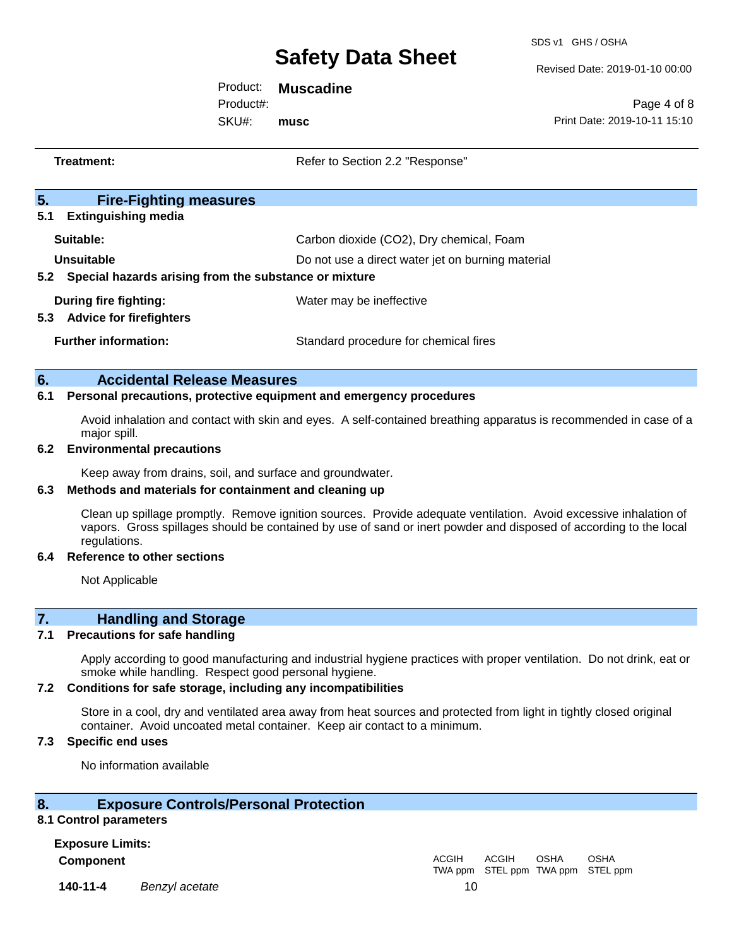SDS v1 GHS / OSHA

Revised Date: 2019-01-10 00:00

Product: **Muscadine**

SKU#: Product#: **musc**

Page 4 of 8 Print Date: 2019-10-11 15:10

| Treatment: |                                                                     | Refer to Section 2.2 "Response"                                                                                   |  |
|------------|---------------------------------------------------------------------|-------------------------------------------------------------------------------------------------------------------|--|
|            |                                                                     |                                                                                                                   |  |
| 5.         | <b>Fire-Fighting measures</b>                                       |                                                                                                                   |  |
| 5.1        | <b>Extinguishing media</b>                                          |                                                                                                                   |  |
|            | Suitable:                                                           | Carbon dioxide (CO2), Dry chemical, Foam                                                                          |  |
|            | Unsuitable                                                          | Do not use a direct water jet on burning material                                                                 |  |
|            | Special hazards arising from the substance or mixture<br>5.2        |                                                                                                                   |  |
|            | During fire fighting:                                               | Water may be ineffective                                                                                          |  |
| 5.3        | <b>Advice for firefighters</b>                                      |                                                                                                                   |  |
|            | <b>Further information:</b>                                         | Standard procedure for chemical fires                                                                             |  |
| 6.         | <b>Accidental Release Measures</b>                                  |                                                                                                                   |  |
| 6.1        | Personal precautions, protective equipment and emergency procedures |                                                                                                                   |  |
|            | major spill.                                                        | Avoid inhalation and contact with skin and eyes. A self-contained breathing apparatus is recommended in case of a |  |

#### **6.2 Environmental precautions**

Keep away from drains, soil, and surface and groundwater.

### **6.3 Methods and materials for containment and cleaning up**

Clean up spillage promptly. Remove ignition sources. Provide adequate ventilation. Avoid excessive inhalation of vapors. Gross spillages should be contained by use of sand or inert powder and disposed of according to the local regulations.

#### **6.4 Reference to other sections**

Not Applicable

## **7. Handling and Storage**

### **7.1 Precautions for safe handling**

Apply according to good manufacturing and industrial hygiene practices with proper ventilation. Do not drink, eat or smoke while handling. Respect good personal hygiene.

#### **7.2 Conditions for safe storage, including any incompatibilities**

Store in a cool, dry and ventilated area away from heat sources and protected from light in tightly closed original container. Avoid uncoated metal container. Keep air contact to a minimum.

## **7.3 Specific end uses**

No information available

## **8. Exposure Controls/Personal Protection**

#### **8.1 Control parameters**

**Exposure Limits: Component** ACGIH

**140-11-4** *Benzyl acetate* 10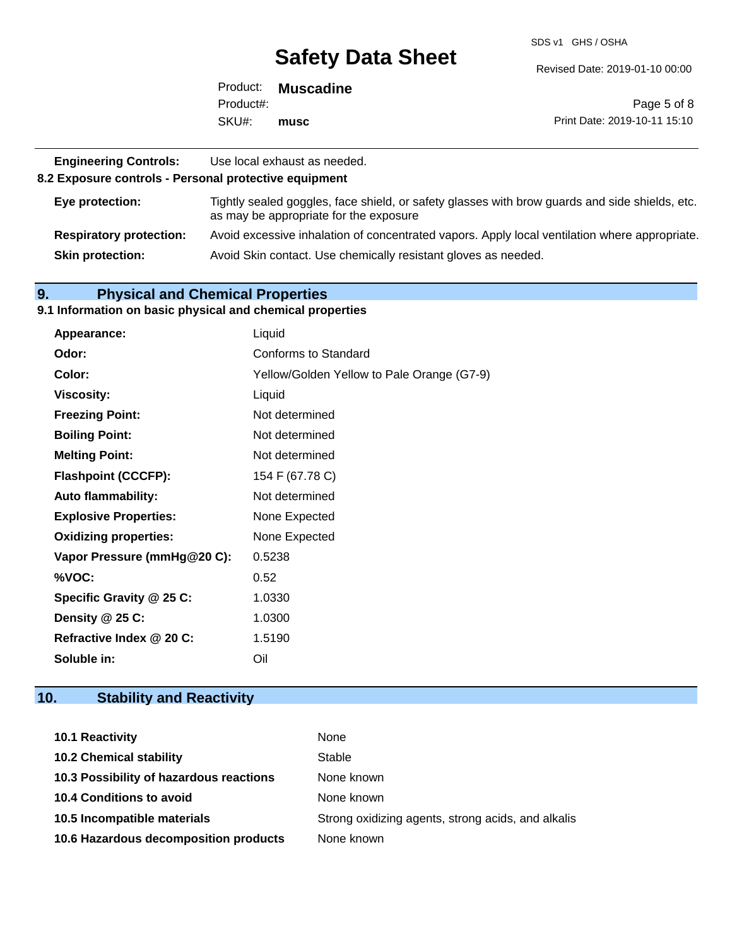SDS v1 GHS / OSHA

Revised Date: 2019-01-10 00:00

|           | Product: Muscadine |                              |
|-----------|--------------------|------------------------------|
| Product#: |                    | Page 5 of 8                  |
| SKU#:     | musc               | Print Date: 2019-10-11 15:10 |

| <b>Engineering Controls:</b><br>8.2 Exposure controls - Personal protective equipment | Use local exhaust as needed.                                                                                                             |
|---------------------------------------------------------------------------------------|------------------------------------------------------------------------------------------------------------------------------------------|
| Eye protection:                                                                       | Tightly sealed goggles, face shield, or safety glasses with brow guards and side shields, etc.<br>as may be appropriate for the exposure |
| <b>Respiratory protection:</b>                                                        | Avoid excessive inhalation of concentrated vapors. Apply local ventilation where appropriate.                                            |
| <b>Skin protection:</b>                                                               | Avoid Skin contact. Use chemically resistant gloves as needed.                                                                           |

## **9. Physical and Chemical Properties**

#### **9.1 Information on basic physical and chemical properties**

| <b>Appearance:</b>           | Liquid                                     |
|------------------------------|--------------------------------------------|
| Odor:                        | Conforms to Standard                       |
| Color:                       | Yellow/Golden Yellow to Pale Orange (G7-9) |
| <b>Viscosity:</b>            | Liquid                                     |
| <b>Freezing Point:</b>       | Not determined                             |
| <b>Boiling Point:</b>        | Not determined                             |
| <b>Melting Point:</b>        | Not determined                             |
| <b>Flashpoint (CCCFP):</b>   | 154 F (67.78 C)                            |
| <b>Auto flammability:</b>    | Not determined                             |
| <b>Explosive Properties:</b> | None Expected                              |
| <b>Oxidizing properties:</b> | None Expected                              |
| Vapor Pressure (mmHg@20 C):  | 0.5238                                     |
| %VOC:                        | 0.52                                       |
| Specific Gravity @ 25 C:     | 1.0330                                     |
| Density @ 25 C:              | 1.0300                                     |
| Refractive Index @ 20 C:     | 1.5190                                     |
| Soluble in:                  | Oil                                        |

## **10. Stability and Reactivity**

| <b>10.1 Reactivity</b>                  | None                                               |
|-----------------------------------------|----------------------------------------------------|
| <b>10.2 Chemical stability</b>          | Stable                                             |
| 10.3 Possibility of hazardous reactions | None known                                         |
| <b>10.4 Conditions to avoid</b>         | None known                                         |
| 10.5 Incompatible materials             | Strong oxidizing agents, strong acids, and alkalis |
| 10.6 Hazardous decomposition products   | None known                                         |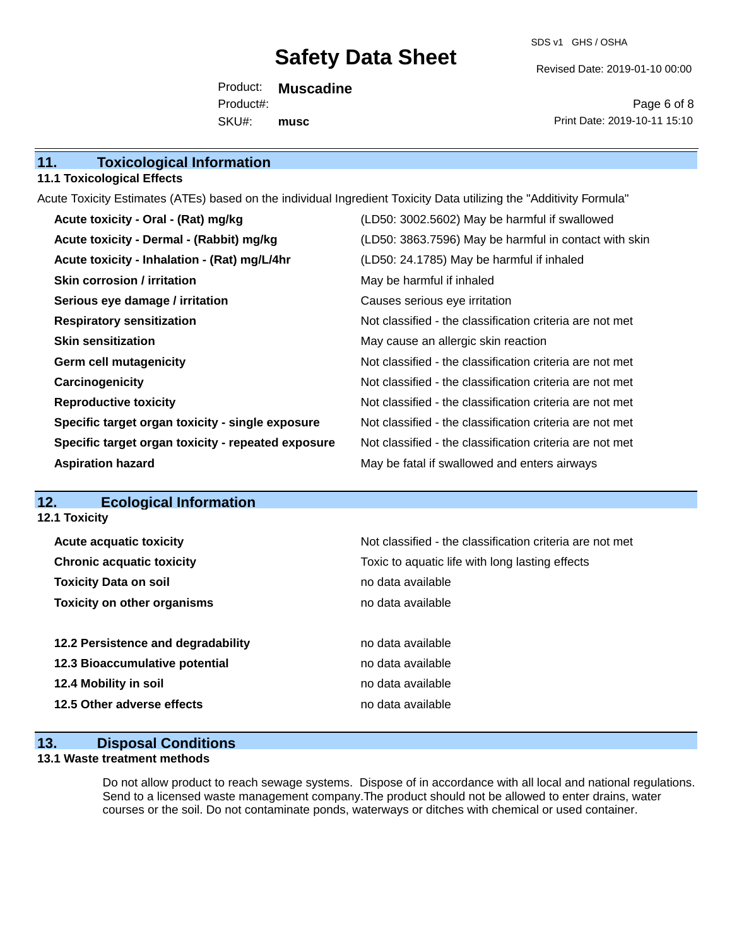SDS v1 GHS / OSHA

Revised Date: 2019-01-10 00:00

Product: **Muscadine** SKU#: Product#: **musc**

Page 6 of 8 Print Date: 2019-10-11 15:10

### **11.1 Toxicological Effects**

Acute Toxicity Estimates (ATEs) based on the individual Ingredient Toxicity Data utilizing the "Additivity Formula"

| Acute toxicity - Oral - (Rat) mg/kg                | (LD50: 3002.5602) May be harmful if swallowed            |
|----------------------------------------------------|----------------------------------------------------------|
| Acute toxicity - Dermal - (Rabbit) mg/kg           | (LD50: 3863.7596) May be harmful in contact with skin    |
| Acute toxicity - Inhalation - (Rat) mg/L/4hr       | (LD50: 24.1785) May be harmful if inhaled                |
| Skin corrosion / irritation                        | May be harmful if inhaled                                |
| Serious eye damage / irritation                    | Causes serious eye irritation                            |
| <b>Respiratory sensitization</b>                   | Not classified - the classification criteria are not met |
| <b>Skin sensitization</b>                          | May cause an allergic skin reaction                      |
| <b>Germ cell mutagenicity</b>                      | Not classified - the classification criteria are not met |
| Carcinogenicity                                    | Not classified - the classification criteria are not met |
| <b>Reproductive toxicity</b>                       | Not classified - the classification criteria are not met |
| Specific target organ toxicity - single exposure   | Not classified - the classification criteria are not met |
| Specific target organ toxicity - repeated exposure | Not classified - the classification criteria are not met |
| <b>Aspiration hazard</b>                           | May be fatal if swallowed and enters airways             |

## **12. Ecological Information**

| <b>12.1 Toxicity</b>               |                                                          |
|------------------------------------|----------------------------------------------------------|
| <b>Acute acquatic toxicity</b>     | Not classified - the classification criteria are not met |
| <b>Chronic acquatic toxicity</b>   | Toxic to aquatic life with long lasting effects          |
| <b>Toxicity Data on soil</b>       | no data available                                        |
| <b>Toxicity on other organisms</b> | no data available                                        |
|                                    |                                                          |
| 12.2 Persistence and degradability | no data available                                        |
| 12.3 Bioaccumulative potential     | no data available                                        |
| 12.4 Mobility in soil              | no data available                                        |
| 12.5 Other adverse effects         | no data available                                        |

## **13. Disposal Conditions**

### **13.1 Waste treatment methods**

Do not allow product to reach sewage systems. Dispose of in accordance with all local and national regulations. Send to a licensed waste management company.The product should not be allowed to enter drains, water courses or the soil. Do not contaminate ponds, waterways or ditches with chemical or used container.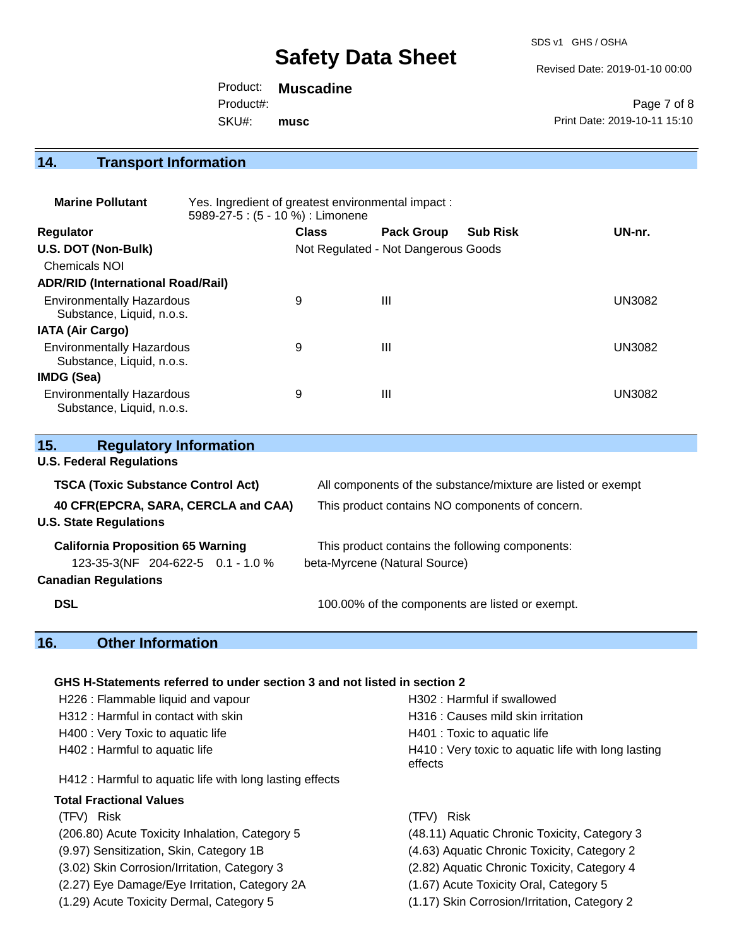SDS v1 GHS / OSHA

Revised Date: 2019-01-10 00:00

Product: **Muscadine** SKU#: Product#: **musc**

Page 7 of 8 Print Date: 2019-10-11 15:10

## **14. Transport Information**

| <b>Marine Pollutant</b>                                       | Yes. Ingredient of greatest environmental impact:<br>5989-27-5 : (5 - 10 %) : Limonene |              |                                     |                 |               |
|---------------------------------------------------------------|----------------------------------------------------------------------------------------|--------------|-------------------------------------|-----------------|---------------|
| <b>Regulator</b>                                              |                                                                                        | <b>Class</b> | <b>Pack Group</b>                   | <b>Sub Risk</b> | UN-nr.        |
| U.S. DOT (Non-Bulk)                                           |                                                                                        |              | Not Regulated - Not Dangerous Goods |                 |               |
| <b>Chemicals NOI</b>                                          |                                                                                        |              |                                     |                 |               |
| <b>ADR/RID (International Road/Rail)</b>                      |                                                                                        |              |                                     |                 |               |
| <b>Environmentally Hazardous</b><br>Substance, Liquid, n.o.s. |                                                                                        | 9            | Ш                                   |                 | <b>UN3082</b> |
| <b>IATA (Air Cargo)</b>                                       |                                                                                        |              |                                     |                 |               |
| <b>Environmentally Hazardous</b><br>Substance, Liquid, n.o.s. |                                                                                        | 9            | Ш                                   |                 | <b>UN3082</b> |
| <b>IMDG (Sea)</b>                                             |                                                                                        |              |                                     |                 |               |
| <b>Environmentally Hazardous</b><br>Substance, Liquid, n.o.s. |                                                                                        | 9            | Ш                                   |                 | UN3082        |

| <b>Regulatory Information</b><br>15.                                 |                                                              |
|----------------------------------------------------------------------|--------------------------------------------------------------|
| <b>U.S. Federal Regulations</b>                                      |                                                              |
| <b>TSCA (Toxic Substance Control Act)</b>                            | All components of the substance/mixture are listed or exempt |
| 40 CFR(EPCRA, SARA, CERCLA and CAA)<br><b>U.S. State Regulations</b> | This product contains NO components of concern.              |
| <b>California Proposition 65 Warning</b>                             | This product contains the following components:              |
| 123-35-3(NF 204-622-5 0.1 - 1.0 %                                    | beta-Myrcene (Natural Source)                                |
| <b>Canadian Regulations</b>                                          |                                                              |
| <b>DSL</b>                                                           | 100.00% of the components are listed or exempt.              |

## **16. Other Information**

## **GHS H-Statements referred to under section 3 and not listed in section 2**

| H226 : Flammable liquid and vapour                       | H302 : Harmful if swallowed                                    |
|----------------------------------------------------------|----------------------------------------------------------------|
| H312 : Harmful in contact with skin                      | H316 : Causes mild skin irritation                             |
| H400 : Very Toxic to aquatic life                        | H401 : Toxic to aquatic life                                   |
| H402 : Harmful to aquatic life                           | H410 : Very toxic to aquatic life with long lasting<br>effects |
| H412 : Harmful to aquatic life with long lasting effects |                                                                |
| <b>Total Fractional Values</b>                           |                                                                |
| (TFV) Risk                                               | (TFV) Risk                                                     |
| (206.80) Acute Toxicity Inhalation, Category 5           | (48.11) Aquatic Chronic Toxicity, Category 3                   |
| (9.97) Sensitization, Skin, Category 1B                  | (4.63) Aquatic Chronic Toxicity, Category 2                    |
| (3.02) Skin Corrosion/Irritation, Category 3             | (2.82) Aquatic Chronic Toxicity, Category 4                    |
| (2.27) Eye Damage/Eye Irritation, Category 2A            | (1.67) Acute Toxicity Oral, Category 5                         |
| (1.29) Acute Toxicity Dermal, Category 5                 | (1.17) Skin Corrosion/Irritation, Category 2                   |
|                                                          |                                                                |